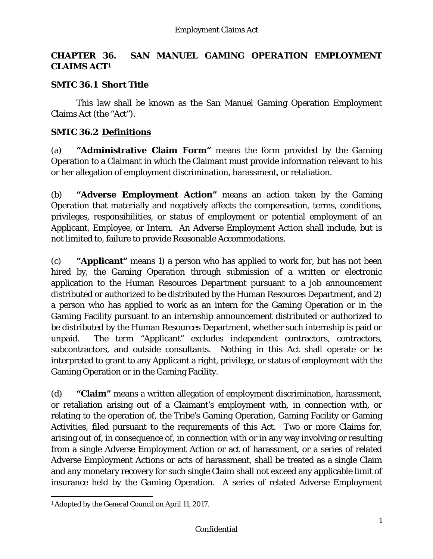# **CHAPTER 36. SAN MANUEL GAMING OPERATION EMPLOYMENT CLAIMS ACT1**

### **SMTC 36.1 Short Title**

This law shall be known as the San Manuel Gaming Operation Employment Claims Act (the "Act").

### **SMTC 36.2 Definitions**

(a) **"Administrative Claim Form"** means the form provided by the Gaming Operation to a Claimant in which the Claimant must provide information relevant to his or her allegation of employment discrimination, harassment, or retaliation.

(b) **"Adverse Employment Action"** means an action taken by the Gaming Operation that materially and negatively affects the compensation, terms, conditions, privileges, responsibilities, or status of employment or potential employment of an Applicant, Employee, or Intern. An Adverse Employment Action shall include, but is not limited to, failure to provide Reasonable Accommodations.

(c) **"Applicant"** means 1) a person who has applied to work for, but has not been hired by, the Gaming Operation through submission of a written or electronic application to the Human Resources Department pursuant to a job announcement distributed or authorized to be distributed by the Human Resources Department, and 2) a person who has applied to work as an intern for the Gaming Operation or in the Gaming Facility pursuant to an internship announcement distributed or authorized to be distributed by the Human Resources Department, whether such internship is paid or unpaid. The term "Applicant" excludes independent contractors, contractors, subcontractors, and outside consultants. Nothing in this Act shall operate or be interpreted to grant to any Applicant a right, privilege, or status of employment with the Gaming Operation or in the Gaming Facility.

(d) **"Claim"** means a written allegation of employment discrimination, harassment, or retaliation arising out of a Claimant's employment with, in connection with, or relating to the operation of, the Tribe's Gaming Operation, Gaming Facility or Gaming Activities, filed pursuant to the requirements of this Act. Two or more Claims for, arising out of, in consequence of, in connection with or in any way involving or resulting from a single Adverse Employment Action or act of harassment, or a series of related Adverse Employment Actions or acts of harassment, shall be treated as a single Claim and any monetary recovery for such single Claim shall not exceed any applicable limit of insurance held by the Gaming Operation. A series of related Adverse Employment

 1 Adopted by the General Council on April 11, 2017.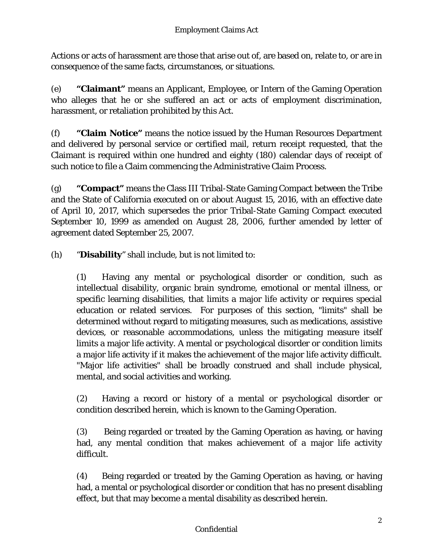Actions or acts of harassment are those that arise out of, are based on, relate to, or are in consequence of the same facts, circumstances, or situations.

(e) **"Claimant"** means an Applicant, Employee, or Intern of the Gaming Operation who alleges that he or she suffered an act or acts of employment discrimination, harassment, or retaliation prohibited by this Act.

(f) **"Claim Notice"** means the notice issued by the Human Resources Department and delivered by personal service or certified mail, return receipt requested, that the Claimant is required within one hundred and eighty (180) calendar days of receipt of such notice to file a Claim commencing the Administrative Claim Process.

(g) **"Compact"** means the Class III Tribal-State Gaming Compact between the Tribe and the State of California executed on or about August 15, 2016, with an effective date of April 10, 2017, which supersedes the prior Tribal-State Gaming Compact executed September 10, 1999 as amended on August 28, 2006, further amended by letter of agreement dated September 25, 2007.

(h) "**Disability**" shall include, but is not limited to:

(1) Having any mental or psychological disorder or condition, such as intellectual disability, organic brain syndrome, emotional or mental illness, or specific learning disabilities, that limits a major life activity or requires special education or related services. For purposes of this section, "limits" shall be determined without regard to mitigating measures, such as medications, assistive devices, or reasonable accommodations, unless the mitigating measure itself limits a major life activity. A mental or psychological disorder or condition limits a major life activity if it makes the achievement of the major life activity difficult. "Major life activities" shall be broadly construed and shall include physical, mental, and social activities and working.

(2) Having a record or history of a mental or psychological disorder or condition described herein, which is known to the Gaming Operation.

(3) Being regarded or treated by the Gaming Operation as having, or having had, any mental condition that makes achievement of a major life activity difficult.

(4) Being regarded or treated by the Gaming Operation as having, or having had, a mental or psychological disorder or condition that has no present disabling effect, but that may become a mental disability as described herein.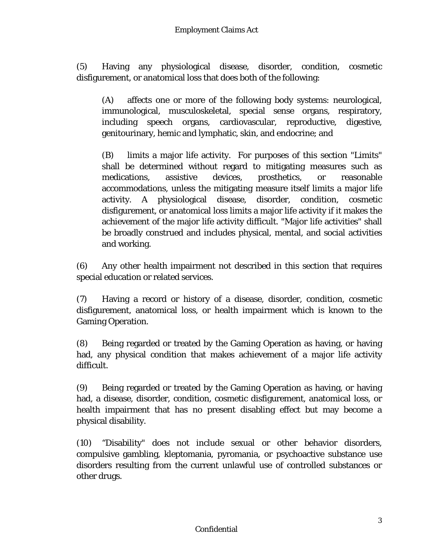(5) Having any physiological disease, disorder, condition, cosmetic disfigurement, or anatomical loss that does both of the following:

(A) affects one or more of the following body systems: neurological, immunological, musculoskeletal, special sense organs, respiratory, including speech organs, cardiovascular, reproductive, digestive, genitourinary, hemic and lymphatic, skin, and endocrine; and

(B) limits a major life activity. For purposes of this section "Limits" shall be determined without regard to mitigating measures such as medications, assistive devices, prosthetics, or reasonable accommodations, unless the mitigating measure itself limits a major life activity. A physiological disease, disorder, condition, cosmetic disfigurement, or anatomical loss limits a major life activity if it makes the achievement of the major life activity difficult. "Major life activities" shall be broadly construed and includes physical, mental, and social activities and working.

(6) Any other health impairment not described in this section that requires special education or related services.

(7) Having a record or history of a disease, disorder, condition, cosmetic disfigurement, anatomical loss, or health impairment which is known to the Gaming Operation.

(8) Being regarded or treated by the Gaming Operation as having, or having had, any physical condition that makes achievement of a major life activity difficult.

(9) Being regarded or treated by the Gaming Operation as having, or having had, a disease, disorder, condition, cosmetic disfigurement, anatomical loss, or health impairment that has no present disabling effect but may become a physical disability.

(10) "Disability" does not include sexual or other behavior disorders, compulsive gambling, kleptomania, pyromania, or psychoactive substance use disorders resulting from the current unlawful use of controlled substances or other drugs.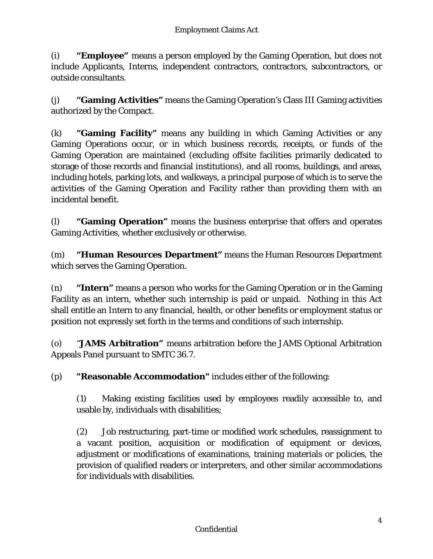(i) **"Employee"** means a person employed by the Gaming Operation, but does not include Applicants, Interns, independent contractors, contractors, subcontractors, or outside consultants.

(j) **"Gaming Activities"** means the Gaming Operation's Class III Gaming activities authorized by the Compact.

(k) **"Gaming Facility"** means any building in which Gaming Activities or any Gaming Operations occur, or in which business records, receipts, or funds of the Gaming Operation are maintained (excluding offsite facilities primarily dedicated to storage of those records and financial institutions), and all rooms, buildings, and areas, including hotels, parking lots, and walkways, a principal purpose of which is to serve the activities of the Gaming Operation and Facility rather than providing them with an incidental benefit.

(l) **"Gaming Operation"** means the business enterprise that offers and operates Gaming Activities, whether exclusively or otherwise.

(m) **"Human Resources Department"** means the Human Resources Department which serves the Gaming Operation.

(n) **"Intern"** means a person who works for the Gaming Operation or in the Gaming Facility as an intern, whether such internship is paid or unpaid. Nothing in this Act shall entitle an Intern to any financial, health, or other benefits or employment status or position not expressly set forth in the terms and conditions of such internship.

(o) "**JAMS Arbitration"** means arbitration before the JAMS Optional Arbitration Appeals Panel pursuant to SMTC 36.7.

(p) **"Reasonable Accommodation"** includes either of the following:

(1) Making existing facilities used by employees readily accessible to, and usable by, individuals with disabilities;

(2) Job restructuring, part-time or modified work schedules, reassignment to a vacant position, acquisition or modification of equipment or devices, adjustment or modifications of examinations, training materials or policies, the provision of qualified readers or interpreters, and other similar accommodations for individuals with disabilities.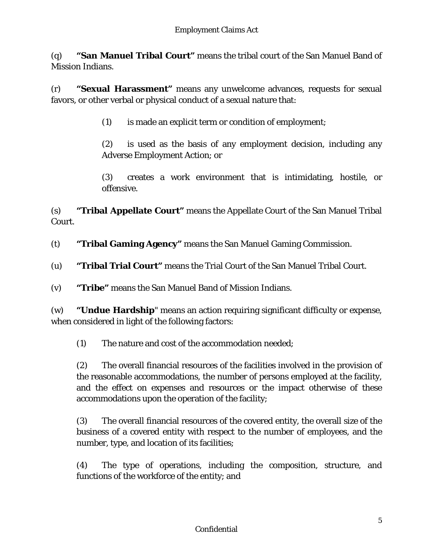(q) **"San Manuel Tribal Court"** means the tribal court of the San Manuel Band of Mission Indians.

(r) **"Sexual Harassment"** means any unwelcome advances, requests for sexual favors, or other verbal or physical conduct of a sexual nature that:

(1) is made an explicit term or condition of employment;

(2) is used as the basis of any employment decision, including any Adverse Employment Action; or

(3) creates a work environment that is intimidating, hostile, or offensive.

(s) **"Tribal Appellate Court"** means the Appellate Court of the San Manuel Tribal Court.

- (t) **"Tribal Gaming Agency"** means the San Manuel Gaming Commission.
- (u) **"Tribal Trial Court"** means the Trial Court of the San Manuel Tribal Court.

(v) **"Tribe"** means the San Manuel Band of Mission Indians.

(w) **"Undue Hardship**" means an action requiring significant difficulty or expense, when considered in light of the following factors:

(1) The nature and cost of the accommodation needed;

(2) The overall financial resources of the facilities involved in the provision of the reasonable accommodations, the number of persons employed at the facility, and the effect on expenses and resources or the impact otherwise of these accommodations upon the operation of the facility;

(3) The overall financial resources of the covered entity, the overall size of the business of a covered entity with respect to the number of employees, and the number, type, and location of its facilities;

(4) The type of operations, including the composition, structure, and functions of the workforce of the entity; and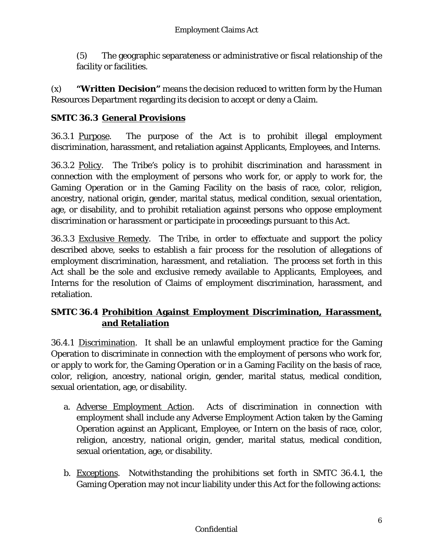(5) The geographic separateness or administrative or fiscal relationship of the facility or facilities.

(x) **"Written Decision"** means the decision reduced to written form by the Human Resources Department regarding its decision to accept or deny a Claim.

# **SMTC 36.3 General Provisions**

36.3.1 Purpose. The purpose of the Act is to prohibit illegal employment discrimination, harassment, and retaliation against Applicants, Employees, and Interns.

36.3.2 Policy. The Tribe's policy is to prohibit discrimination and harassment in connection with the employment of persons who work for, or apply to work for, the Gaming Operation or in the Gaming Facility on the basis of race, color, religion, ancestry, national origin, gender, marital status, medical condition, sexual orientation, age, or disability, and to prohibit retaliation against persons who oppose employment discrimination or harassment or participate in proceedings pursuant to this Act.

36.3.3 Exclusive Remedy. The Tribe, in order to effectuate and support the policy described above, seeks to establish a fair process for the resolution of allegations of employment discrimination, harassment, and retaliation. The process set forth in this Act shall be the sole and exclusive remedy available to Applicants, Employees, and Interns for the resolution of Claims of employment discrimination, harassment, and retaliation.

### **SMTC 36.4 Prohibition Against Employment Discrimination, Harassment, and Retaliation**

36.4.1 Discrimination.It shall be an unlawful employment practice for the Gaming Operation to discriminate in connection with the employment of persons who work for, or apply to work for, the Gaming Operation or in a Gaming Facility on the basis of race, color, religion, ancestry, national origin, gender, marital status, medical condition, sexual orientation, age, or disability.

- a. Adverse Employment Action. Acts of discrimination in connection with employment shall include any Adverse Employment Action taken by the Gaming Operation against an Applicant, Employee, or Intern on the basis of race, color, religion, ancestry, national origin, gender, marital status, medical condition, sexual orientation, age, or disability.
- b. Exceptions. Notwithstanding the prohibitions set forth in SMTC 36.4.1, the Gaming Operation may not incur liability under this Act for the following actions: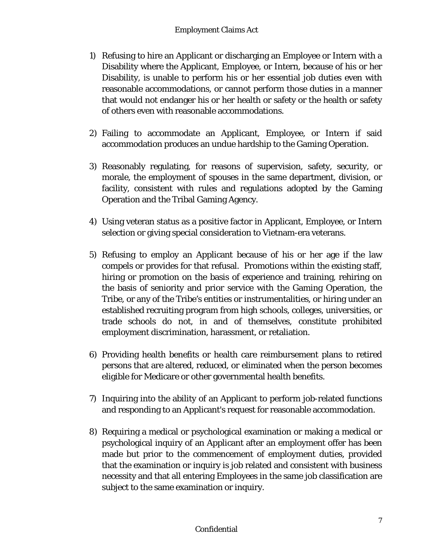- 1) Refusing to hire an Applicant or discharging an Employee or Intern with a Disability where the Applicant, Employee, or Intern, because of his or her Disability, is unable to perform his or her essential job duties even with reasonable accommodations, or cannot perform those duties in a manner that would not endanger his or her health or safety or the health or safety of others even with reasonable accommodations.
- 2) Failing to accommodate an Applicant, Employee, or Intern if said accommodation produces an undue hardship to the Gaming Operation.
- 3) Reasonably regulating, for reasons of supervision, safety, security, or morale, the employment of spouses in the same department, division, or facility, consistent with rules and regulations adopted by the Gaming Operation and the Tribal Gaming Agency.
- 4) Using veteran status as a positive factor in Applicant, Employee, or Intern selection or giving special consideration to Vietnam-era veterans.
- 5) Refusing to employ an Applicant because of his or her age if the law compels or provides for that refusal. Promotions within the existing staff, hiring or promotion on the basis of experience and training, rehiring on the basis of seniority and prior service with the Gaming Operation, the Tribe, or any of the Tribe's entities or instrumentalities, or hiring under an established recruiting program from high schools, colleges, universities, or trade schools do not, in and of themselves, constitute prohibited employment discrimination, harassment, or retaliation.
- 6) Providing health benefits or health care reimbursement plans to retired persons that are altered, reduced, or eliminated when the person becomes eligible for Medicare or other governmental health benefits.
- 7) Inquiring into the ability of an Applicant to perform job-related functions and responding to an Applicant's request for reasonable accommodation.
- 8) Requiring a medical or psychological examination or making a medical or psychological inquiry of an Applicant after an employment offer has been made but prior to the commencement of employment duties, provided that the examination or inquiry is job related and consistent with business necessity and that all entering Employees in the same job classification are subject to the same examination or inquiry.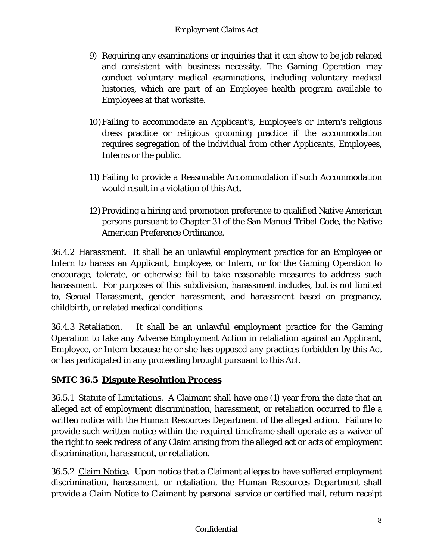- 9) Requiring any examinations or inquiries that it can show to be job related and consistent with business necessity. The Gaming Operation may conduct voluntary medical examinations, including voluntary medical histories, which are part of an Employee health program available to Employees at that worksite.
- 10)Failing to accommodate an Applicant's, Employee's or Intern's religious dress practice or religious grooming practice if the accommodation requires segregation of the individual from other Applicants, Employees, Interns or the public.
- 11) Failing to provide a Reasonable Accommodation if such Accommodation would result in a violation of this Act.
- 12) Providing a hiring and promotion preference to qualified Native American persons pursuant to Chapter 31 of the San Manuel Tribal Code, the Native American Preference Ordinance.

36.4.2 Harassment.It shall be an unlawful employment practice for an Employee or Intern to harass an Applicant, Employee, or Intern, or for the Gaming Operation to encourage, tolerate, or otherwise fail to take reasonable measures to address such harassment. For purposes of this subdivision, harassment includes, but is not limited to, Sexual Harassment, gender harassment, and harassment based on pregnancy, childbirth, or related medical conditions.

36.4.3 Retaliation.It shall be an unlawful employment practice for the Gaming Operation to take any Adverse Employment Action in retaliation against an Applicant, Employee, or Intern because he or she has opposed any practices forbidden by this Act or has participated in any proceeding brought pursuant to this Act.

# **SMTC 36.5 Dispute Resolution Process**

36.5.1 Statute of Limitations. A Claimant shall have one (1) year from the date that an alleged act of employment discrimination, harassment, or retaliation occurred to file a written notice with the Human Resources Department of the alleged action. Failure to provide such written notice within the required timeframe shall operate as a waiver of the right to seek redress of any Claim arising from the alleged act or acts of employment discrimination, harassment, or retaliation.

36.5.2 Claim Notice. Upon notice that a Claimant alleges to have suffered employment discrimination, harassment, or retaliation, the Human Resources Department shall provide a Claim Notice to Claimant by personal service or certified mail, return receipt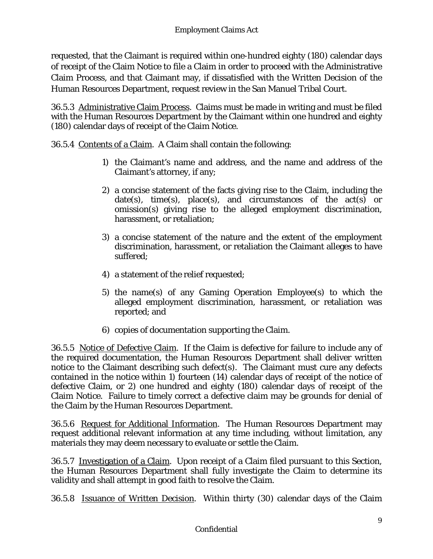requested, that the Claimant is required within one-hundred eighty (180) calendar days of receipt of the Claim Notice to file a Claim in order to proceed with the Administrative Claim Process, and that Claimant may, if dissatisfied with the Written Decision of the Human Resources Department, request review in the San Manuel Tribal Court.

36.5.3 Administrative Claim Process. Claims must be made in writing and must be filed with the Human Resources Department by the Claimant within one hundred and eighty (180) calendar days of receipt of the Claim Notice.

36.5.4 Contents of a Claim. A Claim shall contain the following:

- 1) the Claimant's name and address, and the name and address of the Claimant's attorney, if any;
- 2) a concise statement of the facts giving rise to the Claim, including the  $date(s), time(s), place(s), and circumstances of the act(s) or$ omission(s) giving rise to the alleged employment discrimination, harassment, or retaliation;
- 3) a concise statement of the nature and the extent of the employment discrimination, harassment, or retaliation the Claimant alleges to have suffered;
- 4) a statement of the relief requested;
- 5) the name(s) of any Gaming Operation Employee(s) to which the alleged employment discrimination, harassment, or retaliation was reported; and
- 6) copies of documentation supporting the Claim.

36.5.5 Notice of Defective Claim. If the Claim is defective for failure to include any of the required documentation, the Human Resources Department shall deliver written notice to the Claimant describing such defect(s). The Claimant must cure any defects contained in the notice within 1) fourteen (14) calendar days of receipt of the notice of defective Claim, or 2) one hundred and eighty (180) calendar days of receipt of the Claim Notice. Failure to timely correct a defective claim may be grounds for denial of the Claim by the Human Resources Department.

36.5.6 Request for Additional Information. The Human Resources Department may request additional relevant information at any time including, without limitation, any materials they may deem necessary to evaluate or settle the Claim.

36.5.7 Investigation of a Claim. Upon receipt of a Claim filed pursuant to this Section, the Human Resources Department shall fully investigate the Claim to determine its validity and shall attempt in good faith to resolve the Claim.

36.5.8 Issuance of Written Decision. Within thirty (30) calendar days of the Claim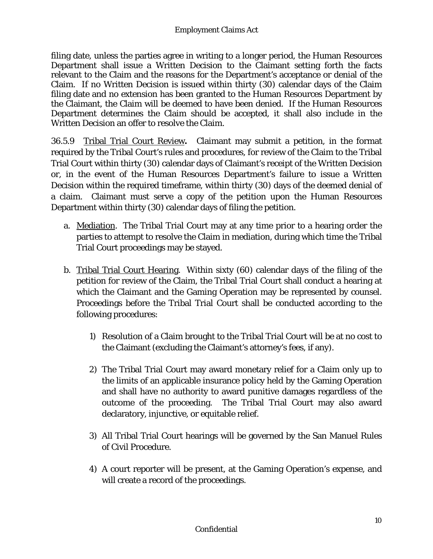filing date, unless the parties agree in writing to a longer period, the Human Resources Department shall issue a Written Decision to the Claimant setting forth the facts relevant to the Claim and the reasons for the Department's acceptance or denial of the Claim. If no Written Decision is issued within thirty (30) calendar days of the Claim filing date and no extension has been granted to the Human Resources Department by the Claimant, the Claim will be deemed to have been denied. If the Human Resources Department determines the Claim should be accepted, it shall also include in the Written Decision an offer to resolve the Claim.

36.5.9Tribal Trial Court Review**.** Claimant may submit a petition, in the format required by the Tribal Court's rules and procedures, for review of the Claim to the Tribal Trial Court within thirty (30) calendar days of Claimant's receipt of the Written Decision or, in the event of the Human Resources Department's failure to issue a Written Decision within the required timeframe, within thirty (30) days of the deemed denial of a claim. Claimant must serve a copy of the petition upon the Human Resources Department within thirty (30) calendar days of filing the petition.

- a. Mediation. The Tribal Trial Court may at any time prior to a hearing order the parties to attempt to resolve the Claim in mediation, during which time the Tribal Trial Court proceedings may be stayed.
- b. Tribal Trial Court Hearing. Within sixty (60) calendar days of the filing of the petition for review of the Claim, the Tribal Trial Court shall conduct a hearing at which the Claimant and the Gaming Operation may be represented by counsel. Proceedings before the Tribal Trial Court shall be conducted according to the following procedures:
	- 1) Resolution of a Claim brought to the Tribal Trial Court will be at no cost to the Claimant (excluding the Claimant's attorney's fees, if any).
	- 2) The Tribal Trial Court may award monetary relief for a Claim only up to the limits of an applicable insurance policy held by the Gaming Operation and shall have no authority to award punitive damages regardless of the outcome of the proceeding. The Tribal Trial Court may also award declaratory, injunctive, or equitable relief.
	- 3) All Tribal Trial Court hearings will be governed by the San Manuel Rules of Civil Procedure.
	- 4) A court reporter will be present, at the Gaming Operation's expense, and will create a record of the proceedings.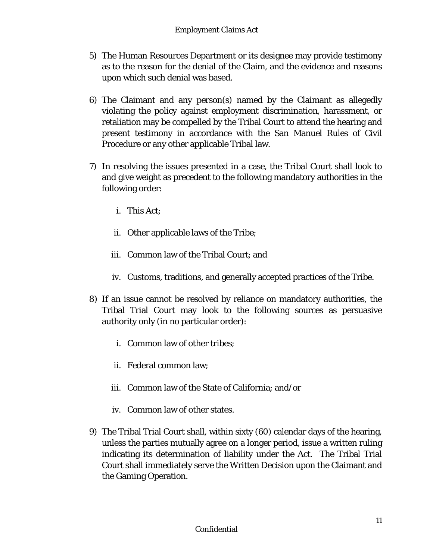- 5) The Human Resources Department or its designee may provide testimony as to the reason for the denial of the Claim, and the evidence and reasons upon which such denial was based.
- 6) The Claimant and any person(s) named by the Claimant as allegedly violating the policy against employment discrimination, harassment, or retaliation may be compelled by the Tribal Court to attend the hearing and present testimony in accordance with the San Manuel Rules of Civil Procedure or any other applicable Tribal law.
- 7) In resolving the issues presented in a case, the Tribal Court shall look to and give weight as precedent to the following mandatory authorities in the following order:
	- i. This Act;
	- ii. Other applicable laws of the Tribe;
	- iii. Common law of the Tribal Court; and
	- iv. Customs, traditions, and generally accepted practices of the Tribe.
- 8) If an issue cannot be resolved by reliance on mandatory authorities, the Tribal Trial Court may look to the following sources as persuasive authority only (in no particular order):
	- i. Common law of other tribes;
	- ii. Federal common law;
	- iii. Common law of the State of California; and/or
	- iv. Common law of other states.
- 9) The Tribal Trial Court shall, within sixty (60) calendar days of the hearing, unless the parties mutually agree on a longer period, issue a written ruling indicating its determination of liability under the Act. The Tribal Trial Court shall immediately serve the Written Decision upon the Claimant and the Gaming Operation.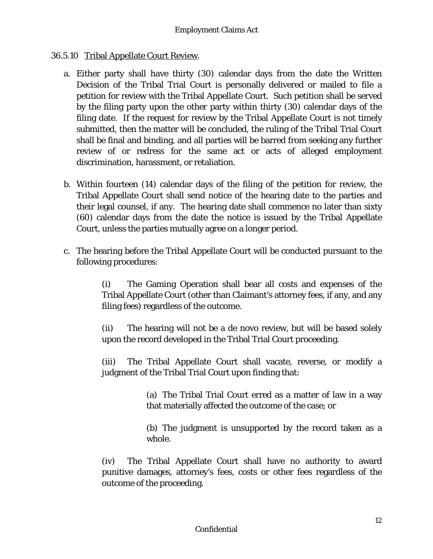#### 36.5.10 Tribal Appellate Court Review.

- a. Either party shall have thirty (30) calendar days from the date the Written Decision of the Tribal Trial Court is personally delivered or mailed to file a petition for review with the Tribal Appellate Court. Such petition shall be served by the filing party upon the other party within thirty (30) calendar days of the filing date. If the request for review by the Tribal Appellate Court is not timely submitted, then the matter will be concluded, the ruling of the Tribal Trial Court shall be final and binding, and all parties will be barred from seeking any further review of or redress for the same act or acts of alleged employment discrimination, harassment, or retaliation.
- b. Within fourteen (14) calendar days of the filing of the petition for review, the Tribal Appellate Court shall send notice of the hearing date to the parties and their legal counsel, if any. The hearing date shall commence no later than sixty (60) calendar days from the date the notice is issued by the Tribal Appellate Court, unless the parties mutually agree on a longer period.
- c. The hearing before the Tribal Appellate Court will be conducted pursuant to the following procedures:

(i) The Gaming Operation shall bear all costs and expenses of the Tribal Appellate Court (other than Claimant's attorney fees, if any, and any filing fees) regardless of the outcome.

(ii) The hearing will not be a de novo review, but will be based solely upon the record developed in the Tribal Trial Court proceeding.

(iii) The Tribal Appellate Court shall vacate, reverse, or modify a judgment of the Tribal Trial Court upon finding that:

> (a) The Tribal Trial Court erred as a matter of law in a way that materially affected the outcome of the case; or

> (b) The judgment is unsupported by the record taken as a whole.

(iv) The Tribal Appellate Court shall have no authority to award punitive damages, attorney's fees, costs or other fees regardless of the outcome of the proceeding.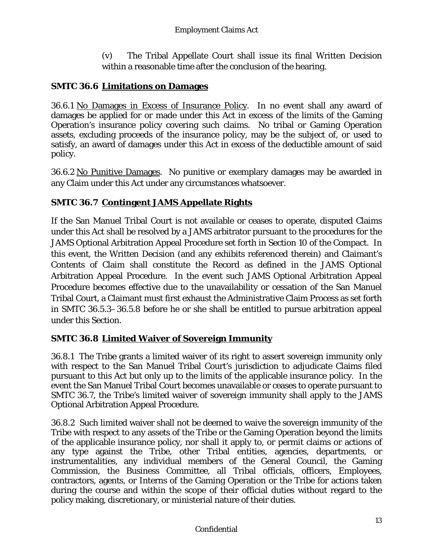(v) The Tribal Appellate Court shall issue its final Written Decision within a reasonable time after the conclusion of the hearing.

# **SMTC 36.6 Limitations on Damages**

36.6.1 No Damages in Excess of Insurance Policy. In no event shall any award of damages be applied for or made under this Act in excess of the limits of the Gaming Operation's insurance policy covering such claims. No tribal or Gaming Operation assets, excluding proceeds of the insurance policy, may be the subject of, or used to satisfy, an award of damages under this Act in excess of the deductible amount of said policy.

36.6.2 No Punitive Damages. No punitive or exemplary damages may be awarded in any Claim under this Act under any circumstances whatsoever.

### **SMTC 36.7 Contingent JAMS Appellate Rights**

If the San Manuel Tribal Court is not available or ceases to operate, disputed Claims under this Act shall be resolved by a JAMS arbitrator pursuant to the procedures for the JAMS Optional Arbitration Appeal Procedure set forth in Section 10 of the Compact. In this event, the Written Decision (and any exhibits referenced therein) and Claimant's Contents of Claim shall constitute the Record as defined in the JAMS Optional Arbitration Appeal Procedure. In the event such JAMS Optional Arbitration Appeal Procedure becomes effective due to the unavailability or cessation of the San Manuel Tribal Court, a Claimant must first exhaust the Administrative Claim Process as set forth in SMTC 36.5.3–36.5.8 before he or she shall be entitled to pursue arbitration appeal under this Section.

### **SMTC 36.8 Limited Waiver of Sovereign Immunity**

36.8.1 The Tribe grants a limited waiver of its right to assert sovereign immunity only with respect to the San Manuel Tribal Court's jurisdiction to adjudicate Claims filed pursuant to this Act but only up to the limits of the applicable insurance policy. In the event the San Manuel Tribal Court becomes unavailable or ceases to operate pursuant to SMTC 36.7, the Tribe's limited waiver of sovereign immunity shall apply to the JAMS Optional Arbitration Appeal Procedure.

36.8.2 Such limited waiver shall not be deemed to waive the sovereign immunity of the Tribe with respect to any assets of the Tribe or the Gaming Operation beyond the limits of the applicable insurance policy, nor shall it apply to, or permit claims or actions of any type against the Tribe, other Tribal entities, agencies, departments, or instrumentalities, any individual members of the General Council, the Gaming Commission, the Business Committee, all Tribal officials, officers, Employees, contractors, agents, or Interns of the Gaming Operation or the Tribe for actions taken during the course and within the scope of their official duties without regard to the policy making, discretionary, or ministerial nature of their duties.